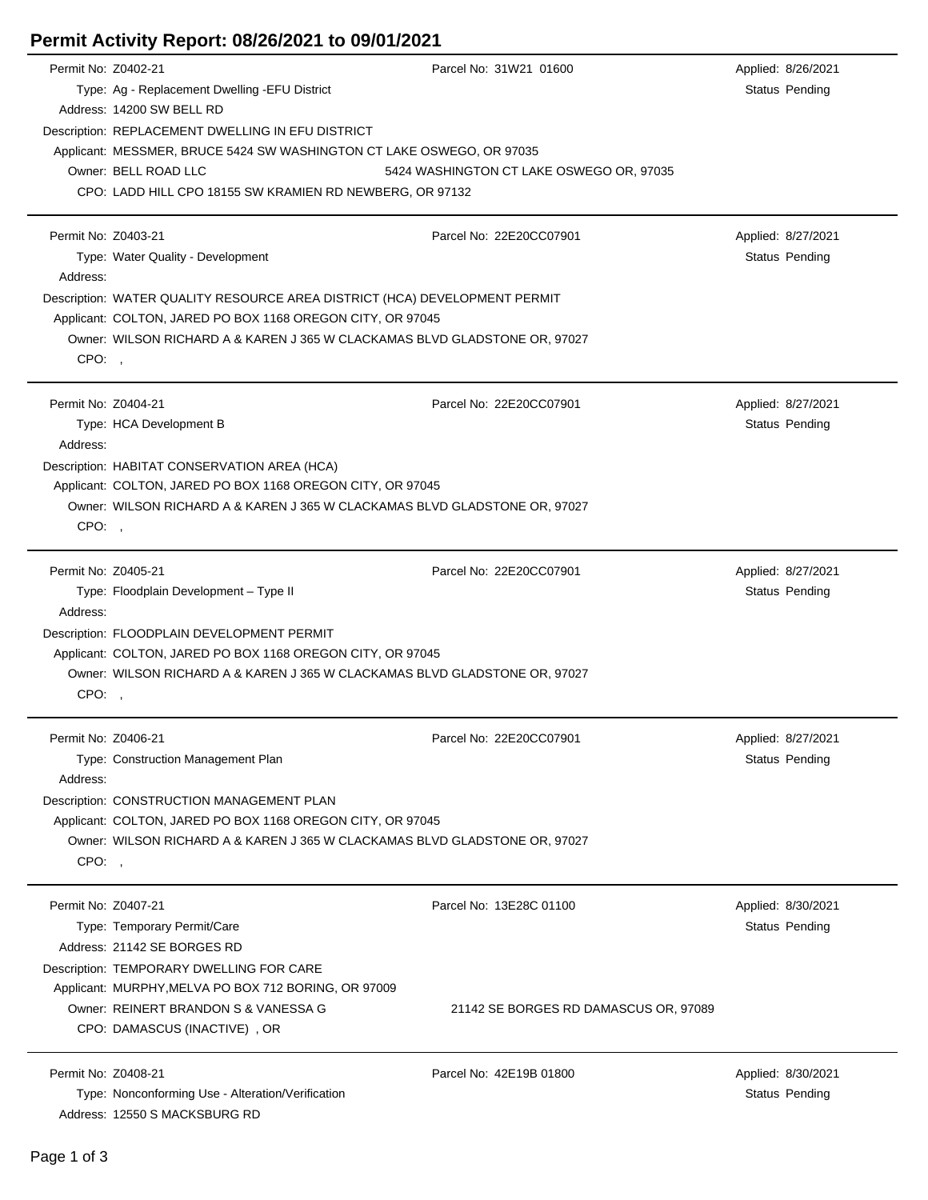|                                                                       | Permit No: Z0402-21                                                        | Parcel No: 31W21 01600                   | Applied: 8/26/2021    |  |  |  |
|-----------------------------------------------------------------------|----------------------------------------------------------------------------|------------------------------------------|-----------------------|--|--|--|
|                                                                       | Type: Ag - Replacement Dwelling - EFU District                             |                                          | Status Pending        |  |  |  |
|                                                                       | Address: 14200 SW BELL RD                                                  |                                          |                       |  |  |  |
|                                                                       | Description: REPLACEMENT DWELLING IN EFU DISTRICT                          |                                          |                       |  |  |  |
| Applicant: MESSMER, BRUCE 5424 SW WASHINGTON CT LAKE OSWEGO, OR 97035 |                                                                            |                                          |                       |  |  |  |
|                                                                       | Owner: BELL ROAD LLC                                                       | 5424 WASHINGTON CT LAKE OSWEGO OR, 97035 |                       |  |  |  |
|                                                                       | CPO: LADD HILL CPO 18155 SW KRAMIEN RD NEWBERG, OR 97132                   |                                          |                       |  |  |  |
|                                                                       |                                                                            |                                          |                       |  |  |  |
|                                                                       | Permit No: Z0403-21                                                        | Parcel No: 22E20CC07901                  | Applied: 8/27/2021    |  |  |  |
|                                                                       | Type: Water Quality - Development                                          |                                          | <b>Status Pending</b> |  |  |  |
| Address:                                                              |                                                                            |                                          |                       |  |  |  |
|                                                                       | Description: WATER QUALITY RESOURCE AREA DISTRICT (HCA) DEVELOPMENT PERMIT |                                          |                       |  |  |  |
|                                                                       | Applicant: COLTON, JARED PO BOX 1168 OREGON CITY, OR 97045                 |                                          |                       |  |  |  |
|                                                                       | Owner: WILSON RICHARD A & KAREN J 365 W CLACKAMAS BLVD GLADSTONE OR, 97027 |                                          |                       |  |  |  |
| CPO:                                                                  |                                                                            |                                          |                       |  |  |  |
|                                                                       |                                                                            |                                          |                       |  |  |  |
|                                                                       | Permit No: Z0404-21                                                        | Parcel No: 22E20CC07901                  | Applied: 8/27/2021    |  |  |  |
|                                                                       | Type: HCA Development B                                                    |                                          | Status Pending        |  |  |  |
| Address:                                                              |                                                                            |                                          |                       |  |  |  |
|                                                                       | Description: HABITAT CONSERVATION AREA (HCA)                               |                                          |                       |  |  |  |
|                                                                       | Applicant: COLTON, JARED PO BOX 1168 OREGON CITY, OR 97045                 |                                          |                       |  |  |  |
|                                                                       | Owner: WILSON RICHARD A & KAREN J 365 W CLACKAMAS BLVD GLADSTONE OR, 97027 |                                          |                       |  |  |  |
| CPO:                                                                  |                                                                            |                                          |                       |  |  |  |
|                                                                       |                                                                            |                                          |                       |  |  |  |
|                                                                       | Permit No: Z0405-21                                                        | Parcel No: 22E20CC07901                  | Applied: 8/27/2021    |  |  |  |
|                                                                       | Type: Floodplain Development - Type II                                     |                                          | Status Pending        |  |  |  |
| Address:                                                              |                                                                            |                                          |                       |  |  |  |
|                                                                       | Description: FLOODPLAIN DEVELOPMENT PERMIT                                 |                                          |                       |  |  |  |
|                                                                       | Applicant: COLTON, JARED PO BOX 1168 OREGON CITY, OR 97045                 |                                          |                       |  |  |  |
|                                                                       | Owner: WILSON RICHARD A & KAREN J 365 W CLACKAMAS BLVD GLADSTONE OR, 97027 |                                          |                       |  |  |  |
| CPO:,                                                                 |                                                                            |                                          |                       |  |  |  |
|                                                                       |                                                                            |                                          |                       |  |  |  |
|                                                                       | Permit No: Z0406-21                                                        | Parcel No: 22E20CC07901                  | Applied: 8/27/2021    |  |  |  |
|                                                                       | Type: Construction Management Plan                                         |                                          | Status Pending        |  |  |  |
| Address:                                                              |                                                                            |                                          |                       |  |  |  |
|                                                                       | Description: CONSTRUCTION MANAGEMENT PLAN                                  |                                          |                       |  |  |  |
|                                                                       | Applicant: COLTON, JARED PO BOX 1168 OREGON CITY, OR 97045                 |                                          |                       |  |  |  |
|                                                                       | Owner: WILSON RICHARD A & KAREN J 365 W CLACKAMAS BLVD GLADSTONE OR, 97027 |                                          |                       |  |  |  |
| CPO:,                                                                 |                                                                            |                                          |                       |  |  |  |
|                                                                       |                                                                            |                                          |                       |  |  |  |
|                                                                       | Permit No: Z0407-21                                                        | Parcel No: 13E28C 01100                  | Applied: 8/30/2021    |  |  |  |
|                                                                       | Type: Temporary Permit/Care                                                |                                          | Status Pending        |  |  |  |
|                                                                       | Address: 21142 SE BORGES RD                                                |                                          |                       |  |  |  |
|                                                                       | Description: TEMPORARY DWELLING FOR CARE                                   |                                          |                       |  |  |  |
|                                                                       | Applicant: MURPHY, MELVA PO BOX 712 BORING, OR 97009                       |                                          |                       |  |  |  |
|                                                                       | Owner: REINERT BRANDON S & VANESSA G                                       | 21142 SE BORGES RD DAMASCUS OR, 97089    |                       |  |  |  |
|                                                                       | CPO: DAMASCUS (INACTIVE), OR                                               |                                          |                       |  |  |  |
|                                                                       |                                                                            |                                          |                       |  |  |  |
|                                                                       | Permit No: Z0408-21                                                        | Parcel No: 42E19B 01800                  | Applied: 8/30/2021    |  |  |  |
|                                                                       | Type: Nonconforming Use - Alteration/Verification                          |                                          | Status Pending        |  |  |  |
|                                                                       | Address: 12550 S MACKSBURG RD                                              |                                          |                       |  |  |  |

**Permit Activity Report: 08/26/2021 to 09/01/2021**

## Page 1 of 3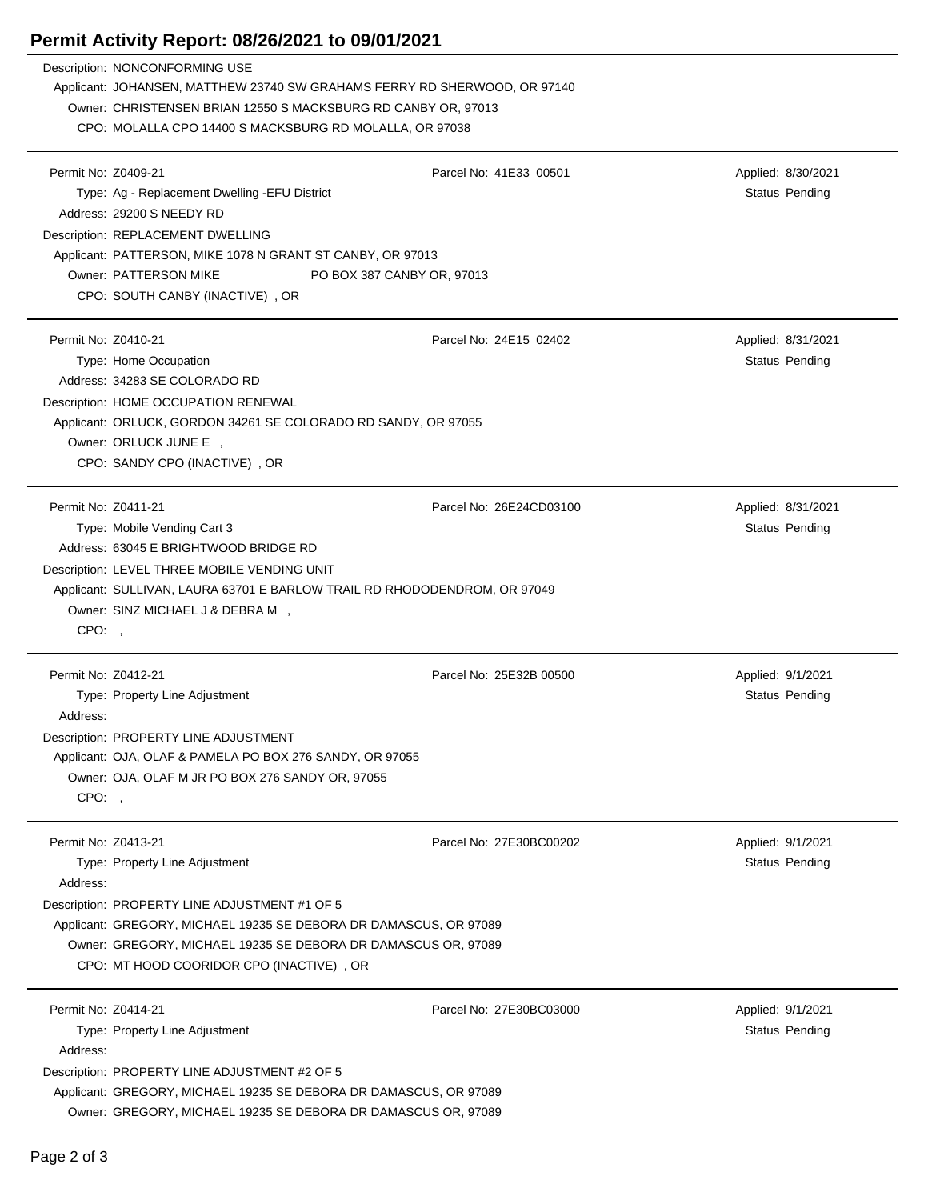## **Permit Activity Report: 08/26/2021 to 09/01/2021**

|                                          | Description: NONCONFORMING USE<br>Applicant: JOHANSEN, MATTHEW 23740 SW GRAHAMS FERRY RD SHERWOOD, OR 97140<br>Owner: CHRISTENSEN BRIAN 12550 S MACKSBURG RD CANBY OR, 97013<br>CPO: MOLALLA CPO 14400 S MACKSBURG RD MOLALLA, OR 97038                                  |                         |                                      |
|------------------------------------------|--------------------------------------------------------------------------------------------------------------------------------------------------------------------------------------------------------------------------------------------------------------------------|-------------------------|--------------------------------------|
| Permit No: Z0409-21                      | Type: Ag - Replacement Dwelling - EFU District<br>Address: 29200 S NEEDY RD<br>Description: REPLACEMENT DWELLING<br>Applicant: PATTERSON, MIKE 1078 N GRANT ST CANBY, OR 97013<br>Owner: PATTERSON MIKE<br>PO BOX 387 CANBY OR, 97013<br>CPO: SOUTH CANBY (INACTIVE), OR | Parcel No: 41E33 00501  | Applied: 8/30/2021<br>Status Pending |
| Permit No: Z0410-21                      | Type: Home Occupation<br>Address: 34283 SE COLORADO RD<br>Description: HOME OCCUPATION RENEWAL<br>Applicant: ORLUCK, GORDON 34261 SE COLORADO RD SANDY, OR 97055<br>Owner: ORLUCK JUNE E ,<br>CPO: SANDY CPO (INACTIVE), OR                                              | Parcel No: 24E15 02402  | Applied: 8/31/2021<br>Status Pending |
| Permit No: Z0411-21<br>CPO:,             | Type: Mobile Vending Cart 3<br>Address: 63045 E BRIGHTWOOD BRIDGE RD<br>Description: LEVEL THREE MOBILE VENDING UNIT<br>Applicant: SULLIVAN, LAURA 63701 E BARLOW TRAIL RD RHODODENDROM, OR 97049<br>Owner: SINZ MICHAEL J & DEBRA M ,                                   | Parcel No: 26E24CD03100 | Applied: 8/31/2021<br>Status Pending |
| Permit No: Z0412-21<br>Address:<br>CPO:, | Type: Property Line Adjustment<br>Description: PROPERTY LINE ADJUSTMENT<br>Applicant: OJA, OLAF & PAMELA PO BOX 276 SANDY, OR 97055<br>Owner: OJA, OLAF M JR PO BOX 276 SANDY OR, 97055                                                                                  | Parcel No: 25E32B 00500 | Applied: 9/1/2021<br>Status Pending  |
| Permit No: Z0413-21<br>Address:          | Type: Property Line Adjustment<br>Description: PROPERTY LINE ADJUSTMENT #1 OF 5<br>Applicant: GREGORY, MICHAEL 19235 SE DEBORA DR DAMASCUS, OR 97089<br>Owner: GREGORY, MICHAEL 19235 SE DEBORA DR DAMASCUS OR, 97089<br>CPO: MT HOOD COORIDOR CPO (INACTIVE), OR        | Parcel No: 27E30BC00202 | Applied: 9/1/2021<br>Status Pending  |
| Permit No: Z0414-21<br>Address:          | Type: Property Line Adjustment<br>Description: PROPERTY LINE ADJUSTMENT #2 OF 5<br>Applicant: GREGORY, MICHAEL 19235 SE DEBORA DR DAMASCUS, OR 97089<br>Owner: GREGORY, MICHAEL 19235 SE DEBORA DR DAMASCUS OR, 97089                                                    | Parcel No: 27E30BC03000 | Applied: 9/1/2021<br>Status Pending  |